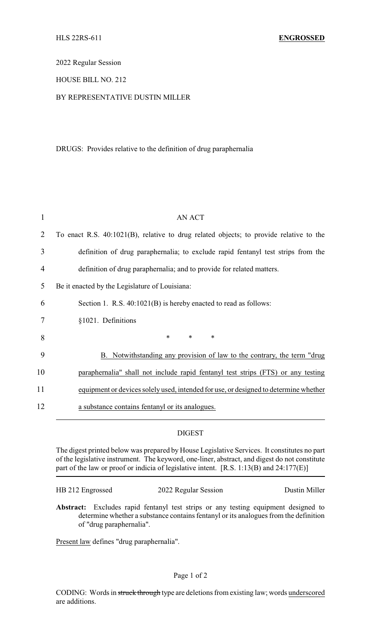2022 Regular Session

## HOUSE BILL NO. 212

## BY REPRESENTATIVE DUSTIN MILLER

## DRUGS: Provides relative to the definition of drug paraphernalia

| 1  | <b>AN ACT</b>                                                                          |
|----|----------------------------------------------------------------------------------------|
| 2  | To enact R.S. 40:1021(B), relative to drug related objects; to provide relative to the |
| 3  | definition of drug paraphernalia; to exclude rapid fentanyl test strips from the       |
| 4  | definition of drug paraphernalia; and to provide for related matters.                  |
| 5  | Be it enacted by the Legislature of Louisiana:                                         |
| 6  | Section 1. R.S. 40:1021(B) is hereby enacted to read as follows:                       |
| 7  | §1021. Definitions                                                                     |
| 8  | $\ast$<br>$\ast$<br>$\ast$                                                             |
| 9  | B. Notwithstanding any provision of law to the contrary, the term "drug                |
| 10 | paraphernalia" shall not include rapid fentanyl test strips (FTS) or any testing       |
| 11 | equipment or devices solely used, intended for use, or designed to determine whether   |
| 12 | a substance contains fentanyl or its analogues.                                        |

## DIGEST

The digest printed below was prepared by House Legislative Services. It constitutes no part of the legislative instrument. The keyword, one-liner, abstract, and digest do not constitute part of the law or proof or indicia of legislative intent. [R.S. 1:13(B) and 24:177(E)]

| HB 212 Engrossed | 2022 Regular Session | Dustin Miller |
|------------------|----------------------|---------------|
|                  |                      |               |

**Abstract:** Excludes rapid fentanyl test strips or any testing equipment designed to determine whether a substance contains fentanyl or its analogues from the definition of "drug paraphernalia".

Present law defines "drug paraphernalia".